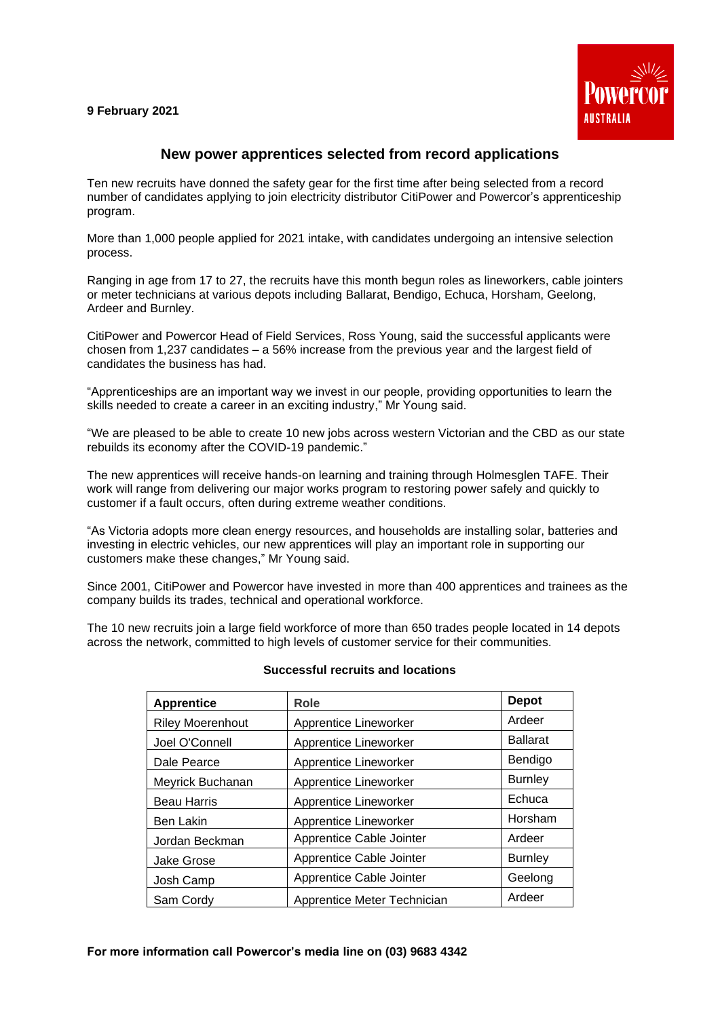# **9 February 2021**



# **New power apprentices selected from record applications**

Ten new recruits have donned the safety gear for the first time after being selected from a record number of candidates applying to join electricity distributor CitiPower and Powercor's apprenticeship program.

More than 1,000 people applied for 2021 intake, with candidates undergoing an intensive selection process.

Ranging in age from 17 to 27, the recruits have this month begun roles as lineworkers, cable jointers or meter technicians at various depots including Ballarat, Bendigo, Echuca, Horsham, Geelong, Ardeer and Burnley.

CitiPower and Powercor Head of Field Services, Ross Young, said the successful applicants were chosen from 1,237 candidates – a 56% increase from the previous year and the largest field of candidates the business has had.

"Apprenticeships are an important way we invest in our people, providing opportunities to learn the skills needed to create a career in an exciting industry," Mr Young said.

"We are pleased to be able to create 10 new jobs across western Victorian and the CBD as our state rebuilds its economy after the COVID-19 pandemic."

The new apprentices will receive hands-on learning and training through Holmesglen TAFE. Their work will range from delivering our major works program to restoring power safely and quickly to customer if a fault occurs, often during extreme weather conditions.

"As Victoria adopts more clean energy resources, and households are installing solar, batteries and investing in electric vehicles, our new apprentices will play an important role in supporting our customers make these changes," Mr Young said.

Since 2001, CitiPower and Powercor have invested in more than 400 apprentices and trainees as the company builds its trades, technical and operational workforce.

The 10 new recruits join a large field workforce of more than 650 trades people located in 14 depots across the network, committed to high levels of customer service for their communities.

| <b>Apprentice</b>       | Role                        | <b>Depot</b>    |
|-------------------------|-----------------------------|-----------------|
| <b>Riley Moerenhout</b> | Apprentice Lineworker       | Ardeer          |
| Joel O'Connell          | Apprentice Lineworker       | <b>Ballarat</b> |
| Dale Pearce             | Apprentice Lineworker       | Bendigo         |
| Meyrick Buchanan        | Apprentice Lineworker       | <b>Burnley</b>  |
| <b>Beau Harris</b>      | Apprentice Lineworker       | Echuca          |
| <b>Ben Lakin</b>        | Apprentice Lineworker       | Horsham         |
| Jordan Beckman          | Apprentice Cable Jointer    | Ardeer          |
| <b>Jake Grose</b>       | Apprentice Cable Jointer    | <b>Burnley</b>  |
| Josh Camp               | Apprentice Cable Jointer    | Geelong         |
| Sam Cordy               | Apprentice Meter Technician | Ardeer          |

### **Successful recruits and locations**